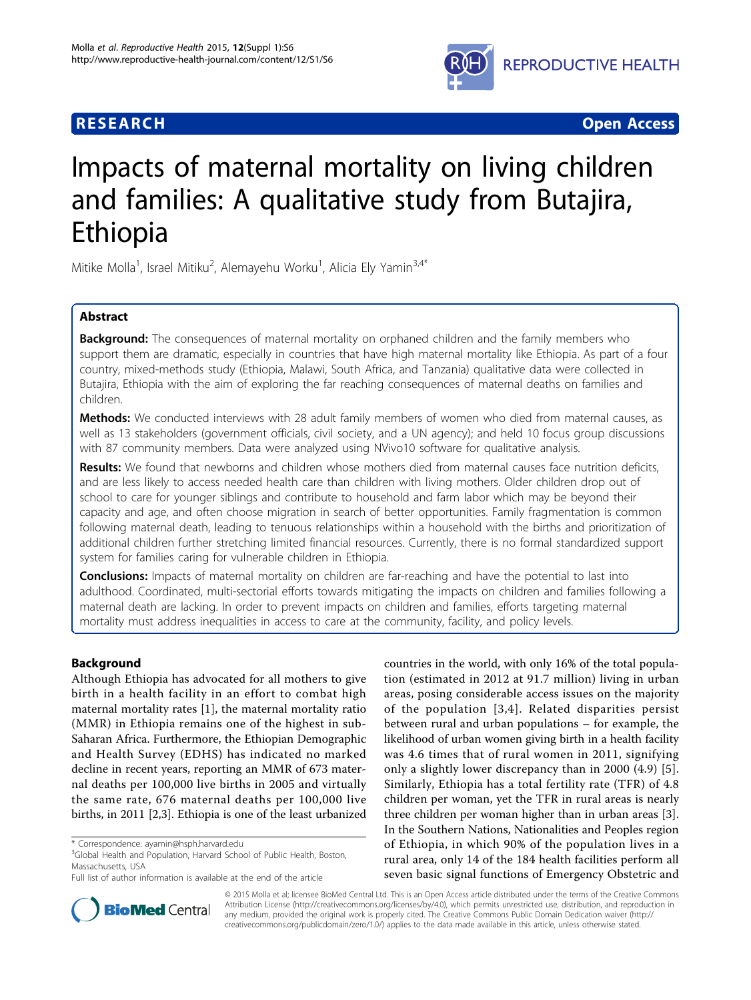

**RESEARCH CONTROL** CONTROL CONTROL CONTROL CONTROL CONTROL CONTROL CONTROL CONTROL CONTROL CONTROL CONTROL CONTROL CONTROL CONTROL CONTROL CONTROL CONTROL CONTROL CONTROL CONTROL CONTROL CONTROL CONTROL CONTROL CONTROL CON

# Impacts of maternal mortality on living children and families: A qualitative study from Butajira, Ethiopia

Mitike Molla<sup>1</sup>, Israel Mitiku<sup>2</sup>, Alemayehu Worku<sup>1</sup>, Alicia Ely Yamin<sup>3,4\*</sup>

# Abstract

**Background:** The consequences of maternal mortality on orphaned children and the family members who support them are dramatic, especially in countries that have high maternal mortality like Ethiopia. As part of a four country, mixed-methods study (Ethiopia, Malawi, South Africa, and Tanzania) qualitative data were collected in Butajira, Ethiopia with the aim of exploring the far reaching consequences of maternal deaths on families and children.

Methods: We conducted interviews with 28 adult family members of women who died from maternal causes, as well as 13 stakeholders (government officials, civil society, and a UN agency); and held 10 focus group discussions with 87 community members. Data were analyzed using NVivo10 software for qualitative analysis.

Results: We found that newborns and children whose mothers died from maternal causes face nutrition deficits, and are less likely to access needed health care than children with living mothers. Older children drop out of school to care for younger siblings and contribute to household and farm labor which may be beyond their capacity and age, and often choose migration in search of better opportunities. Family fragmentation is common following maternal death, leading to tenuous relationships within a household with the births and prioritization of additional children further stretching limited financial resources. Currently, there is no formal standardized support system for families caring for vulnerable children in Ethiopia.

**Conclusions:** Impacts of maternal mortality on children are far-reaching and have the potential to last into adulthood. Coordinated, multi-sectorial efforts towards mitigating the impacts on children and families following a maternal death are lacking. In order to prevent impacts on children and families, efforts targeting maternal mortality must address inequalities in access to care at the community, facility, and policy levels.

# Background

Although Ethiopia has advocated for all mothers to give birth in a health facility in an effort to combat high maternal mortality rates [\[1](#page-7-0)], the maternal mortality ratio (MMR) in Ethiopia remains one of the highest in sub-Saharan Africa. Furthermore, the Ethiopian Demographic and Health Survey (EDHS) has indicated no marked decline in recent years, reporting an MMR of 673 maternal deaths per 100,000 live births in 2005 and virtually the same rate, 676 maternal deaths per 100,000 live births, in 2011 [[2,3\]](#page-7-0). Ethiopia is one of the least urbanized

countries in the world, with only 16% of the total population (estimated in 2012 at 91.7 million) living in urban areas, posing considerable access issues on the majority of the population [[3](#page-7-0),[4](#page-7-0)]. Related disparities persist between rural and urban populations – for example, the likelihood of urban women giving birth in a health facility was 4.6 times that of rural women in 2011, signifying only a slightly lower discrepancy than in 2000 (4.9) [[5](#page-7-0)]. Similarly, Ethiopia has a total fertility rate (TFR) of 4.8 children per woman, yet the TFR in rural areas is nearly three children per woman higher than in urban areas [\[3](#page-7-0)]. In the Southern Nations, Nationalities and Peoples region of Ethiopia, in which 90% of the population lives in a rural area, only 14 of the 184 health facilities perform all seven basic signal functions of Emergency Obstetric and



© 2015 Molla et al; licensee BioMed Central Ltd. This is an Open Access article distributed under the terms of the Creative Commons Attribution License [\(http://creativecommons.org/licenses/by/4.0](http://creativecommons.org/licenses/by/4.0)), which permits unrestricted use, distribution, and reproduction in any medium, provided the original work is properly cited. The Creative Commons Public Domain Dedication waiver [\(http://](http://creativecommons.org/publicdomain/zero/1.0/) [creativecommons.org/publicdomain/zero/1.0/](http://creativecommons.org/publicdomain/zero/1.0/)) applies to the data made available in this article, unless otherwise stated.

<sup>\*</sup> Correspondence: [ayamin@hsph.harvard.edu](mailto:ayamin@hsph.harvard.edu)

<sup>&</sup>lt;sup>3</sup>Global Health and Population, Harvard School of Public Health, Boston, Massachusetts, USA

Full list of author information is available at the end of the article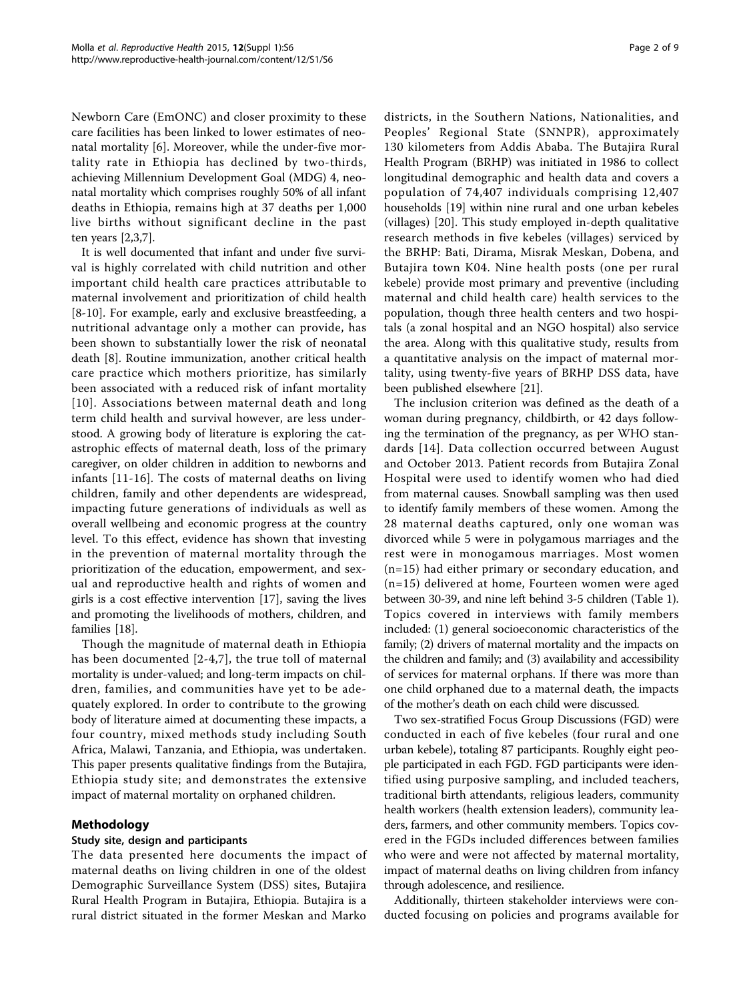Newborn Care (EmONC) and closer proximity to these care facilities has been linked to lower estimates of neonatal mortality [[6](#page-7-0)]. Moreover, while the under-five mortality rate in Ethiopia has declined by two-thirds, achieving Millennium Development Goal (MDG) 4, neonatal mortality which comprises roughly 50% of all infant deaths in Ethiopia, remains high at 37 deaths per 1,000 live births without significant decline in the past ten years [[2,3,7\]](#page-7-0).

It is well documented that infant and under five survival is highly correlated with child nutrition and other important child health care practices attributable to maternal involvement and prioritization of child health [[8-10](#page-7-0)]. For example, early and exclusive breastfeeding, a nutritional advantage only a mother can provide, has been shown to substantially lower the risk of neonatal death [[8\]](#page-7-0). Routine immunization, another critical health care practice which mothers prioritize, has similarly been associated with a reduced risk of infant mortality [[10\]](#page-7-0). Associations between maternal death and long term child health and survival however, are less understood. A growing body of literature is exploring the catastrophic effects of maternal death, loss of the primary caregiver, on older children in addition to newborns and infants [[11](#page-7-0)-[16](#page-7-0)]. The costs of maternal deaths on living children, family and other dependents are widespread, impacting future generations of individuals as well as overall wellbeing and economic progress at the country level. To this effect, evidence has shown that investing in the prevention of maternal mortality through the prioritization of the education, empowerment, and sexual and reproductive health and rights of women and girls is a cost effective intervention [[17\]](#page-7-0), saving the lives and promoting the livelihoods of mothers, children, and families [\[18\]](#page-7-0).

Though the magnitude of maternal death in Ethiopia has been documented [[2-4,7](#page-7-0)], the true toll of maternal mortality is under-valued; and long-term impacts on children, families, and communities have yet to be adequately explored. In order to contribute to the growing body of literature aimed at documenting these impacts, a four country, mixed methods study including South Africa, Malawi, Tanzania, and Ethiopia, was undertaken. This paper presents qualitative findings from the Butajira, Ethiopia study site; and demonstrates the extensive impact of maternal mortality on orphaned children.

# Methodology

# Study site, design and participants

The data presented here documents the impact of maternal deaths on living children in one of the oldest Demographic Surveillance System (DSS) sites, Butajira Rural Health Program in Butajira, Ethiopia. Butajira is a rural district situated in the former Meskan and Marko districts, in the Southern Nations, Nationalities, and Peoples' Regional State (SNNPR), approximately 130 kilometers from Addis Ababa. The Butajira Rural Health Program (BRHP) was initiated in 1986 to collect longitudinal demographic and health data and covers a population of 74,407 individuals comprising 12,407 households [[19\]](#page-7-0) within nine rural and one urban kebeles (villages) [[20\]](#page-7-0). This study employed in-depth qualitative research methods in five kebeles (villages) serviced by the BRHP: Bati, Dirama, Misrak Meskan, Dobena, and Butajira town K04. Nine health posts (one per rural kebele) provide most primary and preventive (including maternal and child health care) health services to the population, though three health centers and two hospitals (a zonal hospital and an NGO hospital) also service the area. Along with this qualitative study, results from a quantitative analysis on the impact of maternal mortality, using twenty-five years of BRHP DSS data, have been published elsewhere [[21](#page-8-0)].

The inclusion criterion was defined as the death of a woman during pregnancy, childbirth, or 42 days following the termination of the pregnancy, as per WHO standards [[14](#page-7-0)]. Data collection occurred between August and October 2013. Patient records from Butajira Zonal Hospital were used to identify women who had died from maternal causes. Snowball sampling was then used to identify family members of these women. Among the 28 maternal deaths captured, only one woman was divorced while 5 were in polygamous marriages and the rest were in monogamous marriages. Most women (n=15) had either primary or secondary education, and (n=15) delivered at home, Fourteen women were aged between 30-39, and nine left behind 3-5 children (Table [1](#page-2-0)). Topics covered in interviews with family members included: (1) general socioeconomic characteristics of the family; (2) drivers of maternal mortality and the impacts on the children and family; and (3) availability and accessibility of services for maternal orphans. If there was more than one child orphaned due to a maternal death, the impacts of the mother's death on each child were discussed.

Two sex-stratified Focus Group Discussions (FGD) were conducted in each of five kebeles (four rural and one urban kebele), totaling 87 participants. Roughly eight people participated in each FGD. FGD participants were identified using purposive sampling, and included teachers, traditional birth attendants, religious leaders, community health workers (health extension leaders), community leaders, farmers, and other community members. Topics covered in the FGDs included differences between families who were and were not affected by maternal mortality, impact of maternal deaths on living children from infancy through adolescence, and resilience.

Additionally, thirteen stakeholder interviews were conducted focusing on policies and programs available for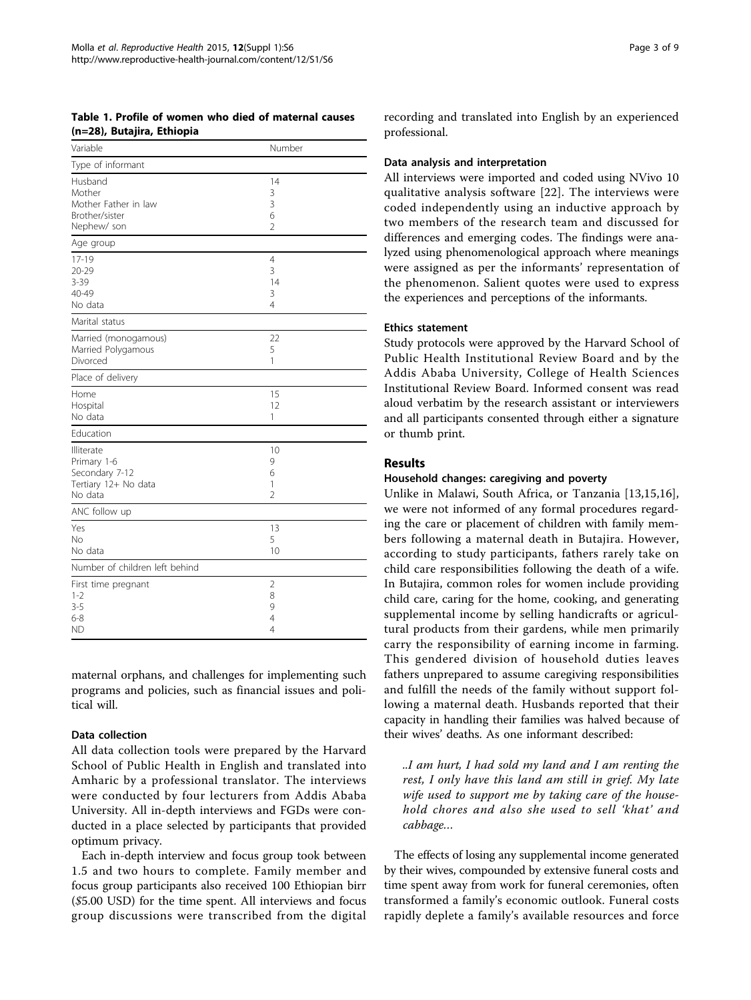#### <span id="page-2-0"></span>Table 1. Profile of women who died of maternal causes (n=28), Butajira, Ethiopia

| Variable                                                                       | Number                              |
|--------------------------------------------------------------------------------|-------------------------------------|
| Type of informant                                                              |                                     |
| Husband<br>Mother<br>Mother Father in law<br>Brother/sister<br>Nephew/ son     | 14<br>3<br>3<br>6<br>$\overline{2}$ |
| Age group                                                                      |                                     |
| $17 - 19$<br>20-29<br>$3 - 39$<br>40-49<br>No data                             | 4<br>3<br>14<br>3<br>4              |
| Marital status                                                                 |                                     |
| Married (monogamous)<br>Married Polygamous<br>Divorced                         | 22<br>5<br>1                        |
| Place of delivery                                                              |                                     |
| Home<br>Hospital<br>No data                                                    | 15<br>12<br>1                       |
| Education                                                                      |                                     |
| Illiterate<br>Primary 1-6<br>Secondary 7-12<br>Tertiary 12+ No data<br>No data | 10<br>9<br>6<br>1<br>$\overline{2}$ |
| ANC follow up                                                                  |                                     |
| Yes<br>Nο<br>No data                                                           | 13<br>5<br>10                       |
| Number of children left behind                                                 |                                     |
| First time pregnant<br>$1 - 2$<br>$3 - 5$<br>6-8<br><b>ND</b>                  | $\overline{2}$<br>8<br>9<br>4<br>4  |

maternal orphans, and challenges for implementing such programs and policies, such as financial issues and political will.

# Data collection

All data collection tools were prepared by the Harvard School of Public Health in English and translated into Amharic by a professional translator. The interviews were conducted by four lecturers from Addis Ababa University. All in-depth interviews and FGDs were conducted in a place selected by participants that provided optimum privacy.

Each in-depth interview and focus group took between 1.5 and two hours to complete. Family member and focus group participants also received 100 Ethiopian birr (\$5.00 USD) for the time spent. All interviews and focus group discussions were transcribed from the digital

recording and translated into English by an experienced professional.

#### Data analysis and interpretation

All interviews were imported and coded using NVivo 10 qualitative analysis software [[22](#page-8-0)]. The interviews were coded independently using an inductive approach by two members of the research team and discussed for differences and emerging codes. The findings were analyzed using phenomenological approach where meanings were assigned as per the informants' representation of the phenomenon. Salient quotes were used to express the experiences and perceptions of the informants.

#### Ethics statement

Study protocols were approved by the Harvard School of Public Health Institutional Review Board and by the Addis Ababa University, College of Health Sciences Institutional Review Board. Informed consent was read aloud verbatim by the research assistant or interviewers and all participants consented through either a signature or thumb print.

### Results

#### Household changes: caregiving and poverty

Unlike in Malawi, South Africa, or Tanzania [[13,15,16](#page-7-0)], we were not informed of any formal procedures regarding the care or placement of children with family members following a maternal death in Butajira. However, according to study participants, fathers rarely take on child care responsibilities following the death of a wife. In Butajira, common roles for women include providing child care, caring for the home, cooking, and generating supplemental income by selling handicrafts or agricultural products from their gardens, while men primarily carry the responsibility of earning income in farming. This gendered division of household duties leaves fathers unprepared to assume caregiving responsibilities and fulfill the needs of the family without support following a maternal death. Husbands reported that their capacity in handling their families was halved because of their wives' deaths. As one informant described:

..I am hurt, I had sold my land and I am renting the rest, I only have this land am still in grief. My late wife used to support me by taking care of the household chores and also she used to sell 'khat' and cabbage…

The effects of losing any supplemental income generated by their wives, compounded by extensive funeral costs and time spent away from work for funeral ceremonies, often transformed a family's economic outlook. Funeral costs rapidly deplete a family's available resources and force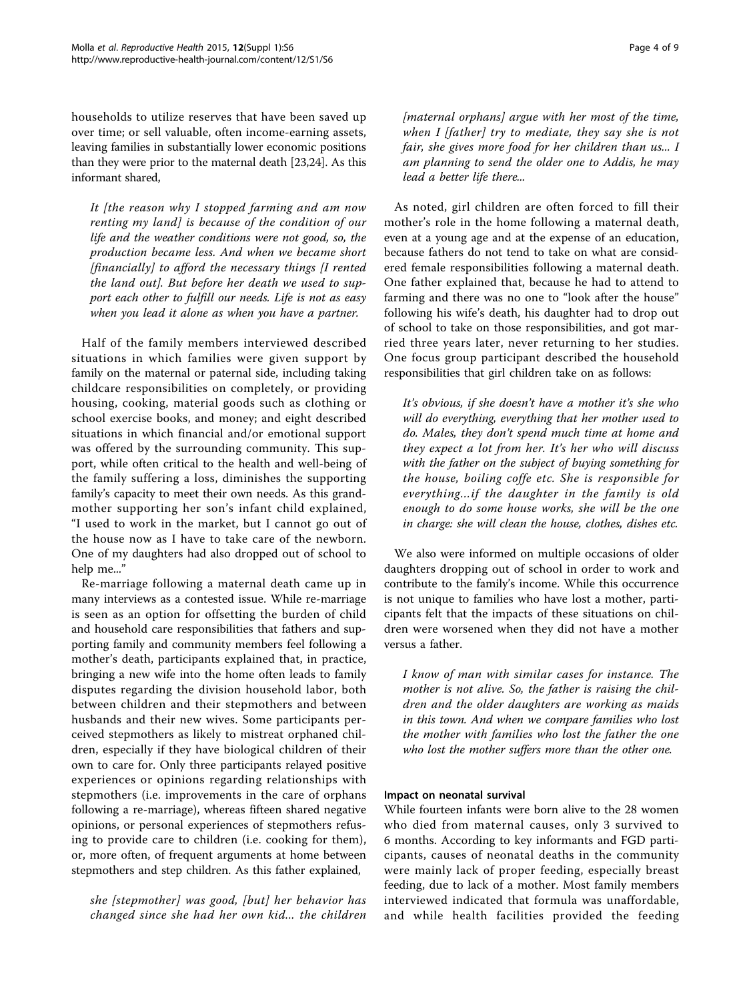households to utilize reserves that have been saved up over time; or sell valuable, often income-earning assets, leaving families in substantially lower economic positions than they were prior to the maternal death [[23,24\]](#page-8-0). As this informant shared,

It [the reason why I stopped farming and am now renting my land] is because of the condition of our life and the weather conditions were not good, so, the production became less. And when we became short [financially] to afford the necessary things [I rented the land out]. But before her death we used to support each other to fulfill our needs. Life is not as easy when you lead it alone as when you have a partner.

Half of the family members interviewed described situations in which families were given support by family on the maternal or paternal side, including taking childcare responsibilities on completely, or providing housing, cooking, material goods such as clothing or school exercise books, and money; and eight described situations in which financial and/or emotional support was offered by the surrounding community. This support, while often critical to the health and well-being of the family suffering a loss, diminishes the supporting family's capacity to meet their own needs. As this grandmother supporting her son's infant child explained, "I used to work in the market, but I cannot go out of the house now as I have to take care of the newborn. One of my daughters had also dropped out of school to help me..."

Re-marriage following a maternal death came up in many interviews as a contested issue. While re-marriage is seen as an option for offsetting the burden of child and household care responsibilities that fathers and supporting family and community members feel following a mother's death, participants explained that, in practice, bringing a new wife into the home often leads to family disputes regarding the division household labor, both between children and their stepmothers and between husbands and their new wives. Some participants perceived stepmothers as likely to mistreat orphaned children, especially if they have biological children of their own to care for. Only three participants relayed positive experiences or opinions regarding relationships with stepmothers (i.e. improvements in the care of orphans following a re-marriage), whereas fifteen shared negative opinions, or personal experiences of stepmothers refusing to provide care to children (i.e. cooking for them), or, more often, of frequent arguments at home between stepmothers and step children. As this father explained,

she [stepmother] was good, [but] her behavior has changed since she had her own kid... the children

[maternal orphans] argue with her most of the time, when I [father] try to mediate, they say she is not fair, she gives more food for her children than us... I am planning to send the older one to Addis, he may lead a better life there...

As noted, girl children are often forced to fill their mother's role in the home following a maternal death, even at a young age and at the expense of an education, because fathers do not tend to take on what are considered female responsibilities following a maternal death. One father explained that, because he had to attend to farming and there was no one to "look after the house" following his wife's death, his daughter had to drop out of school to take on those responsibilities, and got married three years later, never returning to her studies. One focus group participant described the household responsibilities that girl children take on as follows:

It's obvious, if she doesn't have a mother it's she who will do everything, everything that her mother used to do. Males, they don't spend much time at home and they expect a lot from her. It's her who will discuss with the father on the subject of buying something for the house, boiling coffe etc. She is responsible for everything…if the daughter in the family is old enough to do some house works, she will be the one in charge: she will clean the house, clothes, dishes etc.

We also were informed on multiple occasions of older daughters dropping out of school in order to work and contribute to the family's income. While this occurrence is not unique to families who have lost a mother, participants felt that the impacts of these situations on children were worsened when they did not have a mother versus a father.

I know of man with similar cases for instance. The mother is not alive. So, the father is raising the children and the older daughters are working as maids in this town. And when we compare families who lost the mother with families who lost the father the one who lost the mother suffers more than the other one.

### Impact on neonatal survival

While fourteen infants were born alive to the 28 women who died from maternal causes, only 3 survived to 6 months. According to key informants and FGD participants, causes of neonatal deaths in the community were mainly lack of proper feeding, especially breast feeding, due to lack of a mother. Most family members interviewed indicated that formula was unaffordable, and while health facilities provided the feeding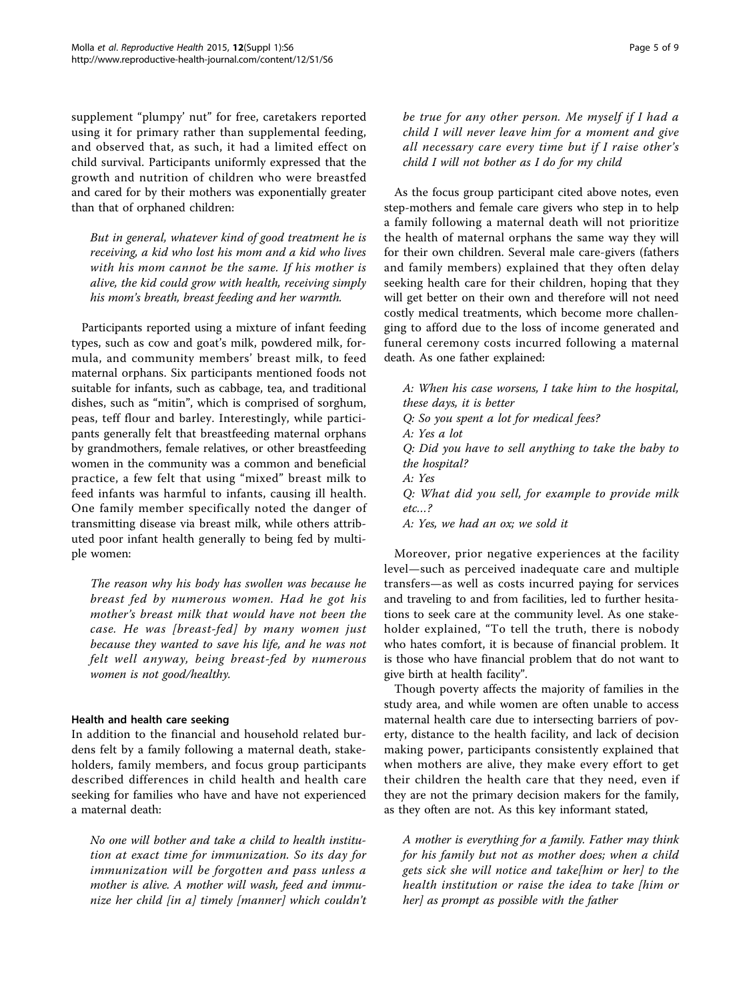supplement "plumpy' nut" for free, caretakers reported using it for primary rather than supplemental feeding, and observed that, as such, it had a limited effect on child survival. Participants uniformly expressed that the growth and nutrition of children who were breastfed and cared for by their mothers was exponentially greater than that of orphaned children:

But in general, whatever kind of good treatment he is receiving, a kid who lost his mom and a kid who lives with his mom cannot be the same. If his mother is alive, the kid could grow with health, receiving simply his mom's breath, breast feeding and her warmth.

Participants reported using a mixture of infant feeding types, such as cow and goat's milk, powdered milk, formula, and community members' breast milk, to feed maternal orphans. Six participants mentioned foods not suitable for infants, such as cabbage, tea, and traditional dishes, such as "mitin", which is comprised of sorghum, peas, teff flour and barley. Interestingly, while participants generally felt that breastfeeding maternal orphans by grandmothers, female relatives, or other breastfeeding women in the community was a common and beneficial practice, a few felt that using "mixed" breast milk to feed infants was harmful to infants, causing ill health. One family member specifically noted the danger of transmitting disease via breast milk, while others attributed poor infant health generally to being fed by multiple women:

The reason why his body has swollen was because he breast fed by numerous women. Had he got his mother's breast milk that would have not been the case. He was [breast-fed] by many women just because they wanted to save his life, and he was not felt well anyway, being breast-fed by numerous women is not good/healthy.

# Health and health care seeking

In addition to the financial and household related burdens felt by a family following a maternal death, stakeholders, family members, and focus group participants described differences in child health and health care seeking for families who have and have not experienced a maternal death:

No one will bother and take a child to health institution at exact time for immunization. So its day for immunization will be forgotten and pass unless a mother is alive. A mother will wash, feed and immunize her child [in a] timely [manner] which couldn't be true for any other person. Me myself if I had a child I will never leave him for a moment and give all necessary care every time but if I raise other's child I will not bother as I do for my child

As the focus group participant cited above notes, even step-mothers and female care givers who step in to help a family following a maternal death will not prioritize the health of maternal orphans the same way they will for their own children. Several male care-givers (fathers and family members) explained that they often delay seeking health care for their children, hoping that they will get better on their own and therefore will not need costly medical treatments, which become more challenging to afford due to the loss of income generated and funeral ceremony costs incurred following a maternal death. As one father explained:

A: When his case worsens, I take him to the hospital, these days, it is better Q: So you spent a lot for medical fees? A: Yes a lot Q: Did you have to sell anything to take the baby to the hospital? A: Yes Q: What did you sell, for example to provide milk etc…? A: Yes, we had an ox; we sold it

Moreover, prior negative experiences at the facility level—such as perceived inadequate care and multiple transfers—as well as costs incurred paying for services and traveling to and from facilities, led to further hesitations to seek care at the community level. As one stakeholder explained, "To tell the truth, there is nobody who hates comfort, it is because of financial problem. It is those who have financial problem that do not want to give birth at health facility".

Though poverty affects the majority of families in the study area, and while women are often unable to access maternal health care due to intersecting barriers of poverty, distance to the health facility, and lack of decision making power, participants consistently explained that when mothers are alive, they make every effort to get their children the health care that they need, even if they are not the primary decision makers for the family, as they often are not. As this key informant stated,

A mother is everything for a family. Father may think for his family but not as mother does; when a child gets sick she will notice and take[him or her] to the health institution or raise the idea to take [him or her] as prompt as possible with the father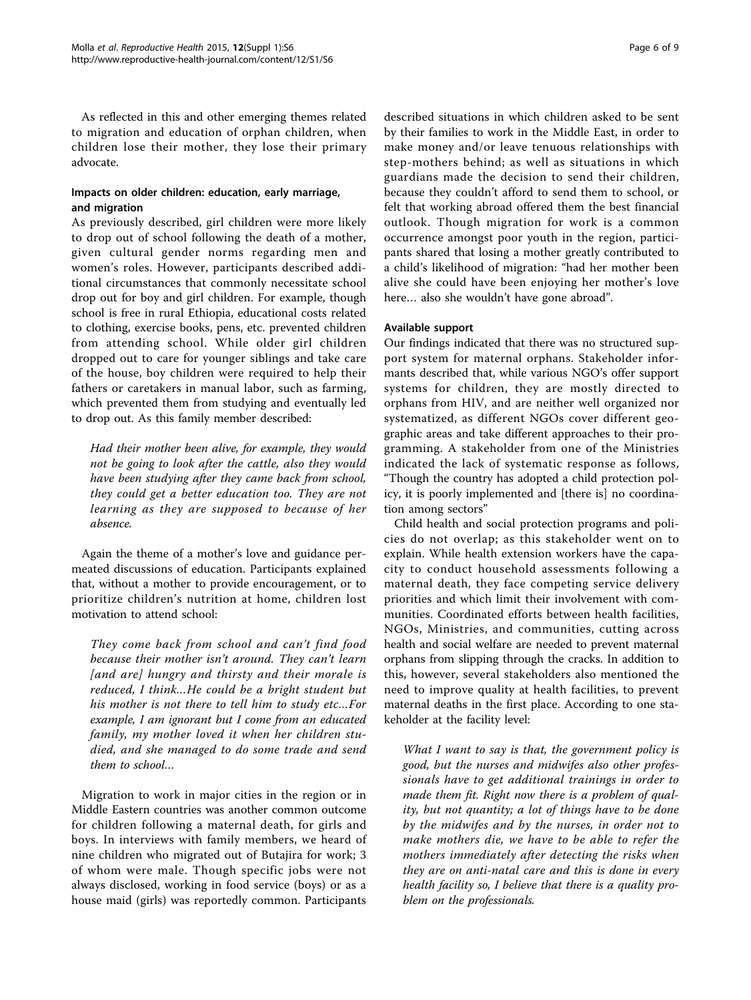As reflected in this and other emerging themes related to migration and education of orphan children, when children lose their mother, they lose their primary advocate.

# Impacts on older children: education, early marriage, and migration

As previously described, girl children were more likely to drop out of school following the death of a mother, given cultural gender norms regarding men and women's roles. However, participants described additional circumstances that commonly necessitate school drop out for boy and girl children. For example, though school is free in rural Ethiopia, educational costs related to clothing, exercise books, pens, etc. prevented children from attending school. While older girl children dropped out to care for younger siblings and take care of the house, boy children were required to help their fathers or caretakers in manual labor, such as farming, which prevented them from studying and eventually led to drop out. As this family member described:

Had their mother been alive, for example, they would not be going to look after the cattle, also they would have been studying after they came back from school, they could get a better education too. They are not learning as they are supposed to because of her absence.

Again the theme of a mother's love and guidance permeated discussions of education. Participants explained that, without a mother to provide encouragement, or to prioritize children's nutrition at home, children lost motivation to attend school:

They come back from school and can't find food because their mother isn't around. They can't learn [and are] hungry and thirsty and their morale is reduced, I think…He could be a bright student but his mother is not there to tell him to study etc…For example, I am ignorant but I come from an educated family, my mother loved it when her children studied, and she managed to do some trade and send them to school…

Migration to work in major cities in the region or in Middle Eastern countries was another common outcome for children following a maternal death, for girls and boys. In interviews with family members, we heard of nine children who migrated out of Butajira for work; 3 of whom were male. Though specific jobs were not always disclosed, working in food service (boys) or as a house maid (girls) was reportedly common. Participants

described situations in which children asked to be sent by their families to work in the Middle East, in order to make money and/or leave tenuous relationships with step-mothers behind; as well as situations in which guardians made the decision to send their children, because they couldn't afford to send them to school, or felt that working abroad offered them the best financial outlook. Though migration for work is a common occurrence amongst poor youth in the region, participants shared that losing a mother greatly contributed to a child's likelihood of migration: "had her mother been alive she could have been enjoying her mother's love here… also she wouldn't have gone abroad".

# Available support

Our findings indicated that there was no structured support system for maternal orphans. Stakeholder informants described that, while various NGO's offer support systems for children, they are mostly directed to orphans from HIV, and are neither well organized nor systematized, as different NGOs cover different geographic areas and take different approaches to their programming. A stakeholder from one of the Ministries indicated the lack of systematic response as follows, "Though the country has adopted a child protection policy, it is poorly implemented and [there is] no coordination among sectors"

Child health and social protection programs and policies do not overlap; as this stakeholder went on to explain. While health extension workers have the capacity to conduct household assessments following a maternal death, they face competing service delivery priorities and which limit their involvement with communities. Coordinated efforts between health facilities, NGOs, Ministries, and communities, cutting across health and social welfare are needed to prevent maternal orphans from slipping through the cracks. In addition to this, however, several stakeholders also mentioned the need to improve quality at health facilities, to prevent maternal deaths in the first place. According to one stakeholder at the facility level:

What I want to say is that, the government policy is good, but the nurses and midwifes also other professionals have to get additional trainings in order to made them fit. Right now there is a problem of quality, but not quantity; a lot of things have to be done by the midwifes and by the nurses, in order not to make mothers die, we have to be able to refer the mothers immediately after detecting the risks when they are on anti-natal care and this is done in every health facility so, I believe that there is a quality problem on the professionals.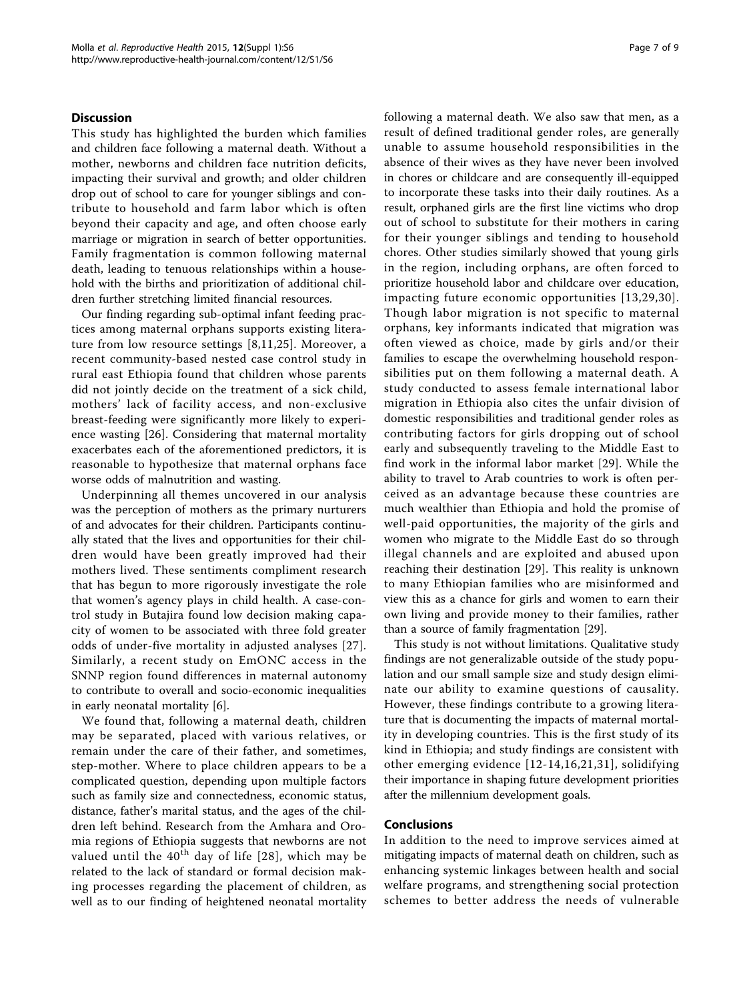## **Discussion**

This study has highlighted the burden which families and children face following a maternal death. Without a mother, newborns and children face nutrition deficits, impacting their survival and growth; and older children drop out of school to care for younger siblings and contribute to household and farm labor which is often beyond their capacity and age, and often choose early marriage or migration in search of better opportunities. Family fragmentation is common following maternal death, leading to tenuous relationships within a household with the births and prioritization of additional children further stretching limited financial resources.

Our finding regarding sub-optimal infant feeding practices among maternal orphans supports existing literature from low resource settings [\[8](#page-7-0),[11](#page-7-0)[,25\]](#page-8-0). Moreover, a recent community-based nested case control study in rural east Ethiopia found that children whose parents did not jointly decide on the treatment of a sick child, mothers' lack of facility access, and non-exclusive breast-feeding were significantly more likely to experience wasting [[26\]](#page-8-0). Considering that maternal mortality exacerbates each of the aforementioned predictors, it is reasonable to hypothesize that maternal orphans face worse odds of malnutrition and wasting.

Underpinning all themes uncovered in our analysis was the perception of mothers as the primary nurturers of and advocates for their children. Participants continually stated that the lives and opportunities for their children would have been greatly improved had their mothers lived. These sentiments compliment research that has begun to more rigorously investigate the role that women's agency plays in child health. A case-control study in Butajira found low decision making capacity of women to be associated with three fold greater odds of under-five mortality in adjusted analyses [[27\]](#page-8-0). Similarly, a recent study on EmONC access in the SNNP region found differences in maternal autonomy to contribute to overall and socio-economic inequalities in early neonatal mortality [[6\]](#page-7-0).

We found that, following a maternal death, children may be separated, placed with various relatives, or remain under the care of their father, and sometimes, step-mother. Where to place children appears to be a complicated question, depending upon multiple factors such as family size and connectedness, economic status, distance, father's marital status, and the ages of the children left behind. Research from the Amhara and Oromia regions of Ethiopia suggests that newborns are not valued until the  $40^{th}$  day of life [\[28](#page-8-0)], which may be related to the lack of standard or formal decision making processes regarding the placement of children, as well as to our finding of heightened neonatal mortality following a maternal death. We also saw that men, as a result of defined traditional gender roles, are generally unable to assume household responsibilities in the absence of their wives as they have never been involved in chores or childcare and are consequently ill-equipped to incorporate these tasks into their daily routines. As a result, orphaned girls are the first line victims who drop out of school to substitute for their mothers in caring for their younger siblings and tending to household chores. Other studies similarly showed that young girls in the region, including orphans, are often forced to prioritize household labor and childcare over education, impacting future economic opportunities [[13,](#page-7-0)[29,30\]](#page-8-0). Though labor migration is not specific to maternal orphans, key informants indicated that migration was often viewed as choice, made by girls and/or their families to escape the overwhelming household responsibilities put on them following a maternal death. A study conducted to assess female international labor migration in Ethiopia also cites the unfair division of domestic responsibilities and traditional gender roles as contributing factors for girls dropping out of school early and subsequently traveling to the Middle East to find work in the informal labor market [[29\]](#page-8-0). While the ability to travel to Arab countries to work is often perceived as an advantage because these countries are much wealthier than Ethiopia and hold the promise of well-paid opportunities, the majority of the girls and women who migrate to the Middle East do so through illegal channels and are exploited and abused upon reaching their destination [[29\]](#page-8-0). This reality is unknown to many Ethiopian families who are misinformed and view this as a chance for girls and women to earn their own living and provide money to their families, rather than a source of family fragmentation [\[29](#page-8-0)].

This study is not without limitations. Qualitative study findings are not generalizable outside of the study population and our small sample size and study design eliminate our ability to examine questions of causality. However, these findings contribute to a growing literature that is documenting the impacts of maternal mortality in developing countries. This is the first study of its kind in Ethiopia; and study findings are consistent with other emerging evidence [[12-14](#page-7-0),[16](#page-7-0),[21](#page-8-0),[31](#page-8-0)], solidifying their importance in shaping future development priorities after the millennium development goals.

# Conclusions

In addition to the need to improve services aimed at mitigating impacts of maternal death on children, such as enhancing systemic linkages between health and social welfare programs, and strengthening social protection schemes to better address the needs of vulnerable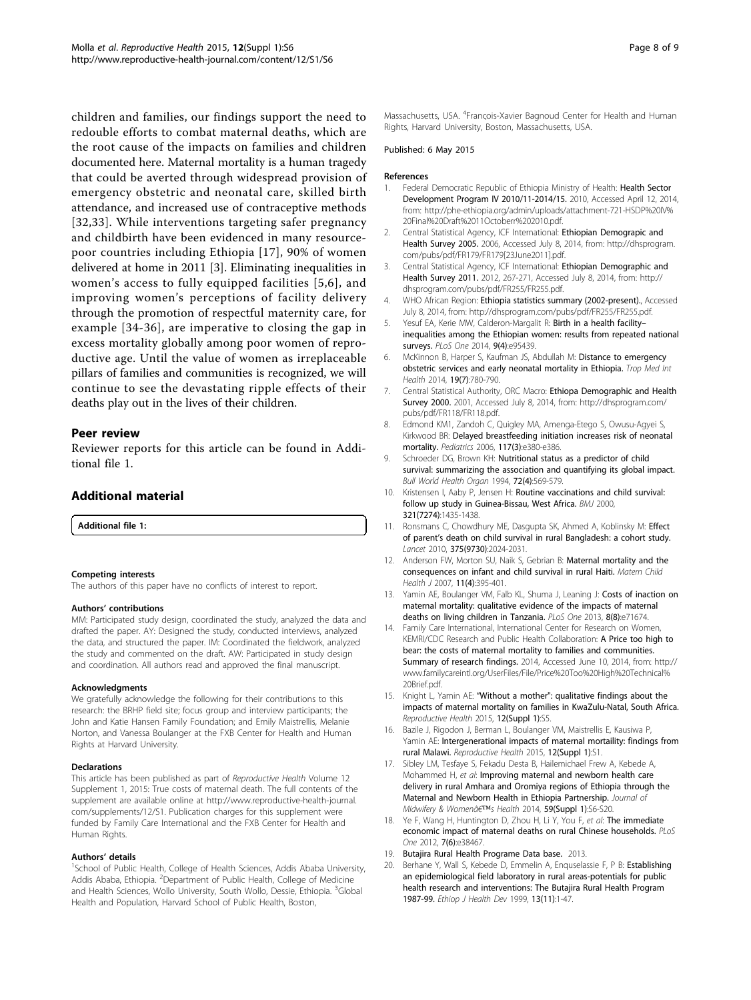<span id="page-7-0"></span>children and families, our findings support the need to redouble efforts to combat maternal deaths, which are the root cause of the impacts on families and children documented here. Maternal mortality is a human tragedy that could be averted through widespread provision of emergency obstetric and neonatal care, skilled birth attendance, and increased use of contraceptive methods [[32](#page-8-0),[33](#page-8-0)]. While interventions targeting safer pregnancy and childbirth have been evidenced in many resourcepoor countries including Ethiopia [17], 90% of women delivered at home in 2011 [3]. Eliminating inequalities in women's access to fully equipped facilities [5,6], and improving women's perceptions of facility delivery through the promotion of respectful maternity care, for example [[34](#page-8-0)-[36\]](#page-8-0), are imperative to closing the gap in excess mortality globally among poor women of reproductive age. Until the value of women as irreplaceable pillars of families and communities is recognized, we will continue to see the devastating ripple effects of their deaths play out in the lives of their children.

# Peer review

Reviewer reports for this article can be found in Additional file 1.

# Additional material

[Additional file 1:](http://www.biomedcentral.com/content/supplementary/1742-4755-12-S1-S6-S1.pdf)

#### Competing interests

The authors of this paper have no conflicts of interest to report.

#### Authors' contributions

MM: Participated study design, coordinated the study, analyzed the data and drafted the paper. AY: Designed the study, conducted interviews, analyzed the data, and structured the paper. IM: Coordinated the fieldwork, analyzed the study and commented on the draft. AW: Participated in study design and coordination. All authors read and approved the final manuscript.

#### Acknowledgments

We gratefully acknowledge the following for their contributions to this research: the BRHP field site; focus group and interview participants; the John and Katie Hansen Family Foundation; and Emily Maistrellis, Melanie Norton, and Vanessa Boulanger at the FXB Center for Health and Human Rights at Harvard University.

#### Declarations

This article has been published as part of Reproductive Health Volume 12 Supplement 1, 2015: True costs of maternal death. The full contents of the supplement are available online at [http://www.reproductive-health-journal.](http://www.reproductive-health-journal.com/supplements/12/S1) [com/supplements/12/S1](http://www.reproductive-health-journal.com/supplements/12/S1). Publication charges for this supplement were funded by Family Care International and the FXB Center for Health and Human Rights.

#### Authors' details <sup>1</sup>

<sup>1</sup>School of Public Health, College of Health Sciences, Addis Ababa University, Addis Ababa, Ethiopia. <sup>2</sup>Department of Public Health, College of Medicine and Health Sciences, Wollo University, South Wollo, Dessie, Ethiopia. <sup>3</sup>Global Health and Population, Harvard School of Public Health, Boston,

Massachusetts, USA. <sup>4</sup>François-Xavier Bagnoud Center for Health and Human Rights, Harvard University, Boston, Massachusetts, USA.

#### Published: 6 May 2015

#### References

- 1. Federal Democratic Republic of Ethiopia Ministry of Health: Health Sector Development Program IV 2010/11-2014/15. 2010, Accessed April 12, 2014, from: http://phe-ethiopia.org/admin/uploads/attachment-721-HSDP%20IV% 20Final%20Draft%2011Octoberr%202010.pdf.
- 2. Central Statistical Agency, ICF International: Ethiopian Demograpic and Health Survey 2005. 2006, Accessed July 8, 2014, from: http://dhsprogram. com/pubs/pdf/FR179/FR179[23June2011].pdf.
- 3. Central Statistical Agency, ICF International: Ethiopian Demographic and Health Survey 2011. 2012, 267-271, Accessed July 8, 2014, from: http:// dhsprogram.com/pubs/pdf/FR255/FR255.pdf.
- 4. WHO African Region: Ethiopia statistics summary (2002-present). Accessed July 8, 2014, from: http://dhsprogram.com/pubs/pdf/FR255/FR255.pdf.
- 5. Yesuf EA, Kerie MW, Calderon-Margalit R: [Birth in a health facility](http://www.ncbi.nlm.nih.gov/pubmed/24751600?dopt=Abstract) [inequalities among the Ethiopian women: results from repeated national](http://www.ncbi.nlm.nih.gov/pubmed/24751600?dopt=Abstract) [surveys.](http://www.ncbi.nlm.nih.gov/pubmed/24751600?dopt=Abstract) PLoS One 2014, 9(4):e95439.
- 6. McKinnon B, Harper S, Kaufman JS, Abdullah M: [Distance to emergency](http://www.ncbi.nlm.nih.gov/pubmed/24750556?dopt=Abstract) [obstetric services and early neonatal mortality in Ethiopia.](http://www.ncbi.nlm.nih.gov/pubmed/24750556?dopt=Abstract) Trop Med Int Health 2014, 19(7):780-790.
- 7. Central Statistical Authority, ORC Macro: Ethiopa Demographic and Health Survey 2000. 2001, Accessed July 8, 2014, from: http://dhsprogram.com/ pubs/pdf/FR118/FR118.pdf.
- 8. Edmond KM1, Zandoh C, Quigley MA, Amenga-Etego S, Owusu-Agyei S, Kirkwood BR: [Delayed breastfeeding initiation increases risk of neonatal](http://www.ncbi.nlm.nih.gov/pubmed/16510618?dopt=Abstract) [mortality.](http://www.ncbi.nlm.nih.gov/pubmed/16510618?dopt=Abstract) Pediatrics 2006, 117(3):e380-e386.
- 9. Schroeder DG, Brown KH: [Nutritional status as a predictor of child](http://www.ncbi.nlm.nih.gov/pubmed/7923536?dopt=Abstract) [survival: summarizing the association and quantifying its global impact.](http://www.ncbi.nlm.nih.gov/pubmed/7923536?dopt=Abstract) Bull World Health Organ 1994, 72(4):569-579.
- 10. Kristensen I, Aaby P, Jensen H: [Routine vaccinations and child survival:](http://www.ncbi.nlm.nih.gov/pubmed/11110734?dopt=Abstract) [follow up study in Guinea-Bissau, West Africa.](http://www.ncbi.nlm.nih.gov/pubmed/11110734?dopt=Abstract) BMJ 2000, 321(7274):1435-1438.
- 11. Ronsmans C, Chowdhury ME, Dasgupta SK, Ahmed A, Koblinsky M: [Effect](http://www.ncbi.nlm.nih.gov/pubmed/20569842?dopt=Abstract) of parent'[s death on child survival in rural Bangladesh: a cohort study.](http://www.ncbi.nlm.nih.gov/pubmed/20569842?dopt=Abstract) Lancet 2010, 375(9730):2024-2031.
- 12. Anderson FW, Morton SU, Naik S, Gebrian B: [Maternal mortality and the](http://www.ncbi.nlm.nih.gov/pubmed/17265193?dopt=Abstract) [consequences on infant and child survival in rural Haiti.](http://www.ncbi.nlm.nih.gov/pubmed/17265193?dopt=Abstract) Matern Child Health J 2007, 11(4):395-401.
- 13. Yamin AE, Boulanger VM, Falb KL, Shuma J, Leaning J: [Costs of inaction on](http://www.ncbi.nlm.nih.gov/pubmed/23990971?dopt=Abstract) [maternal mortality: qualitative evidence of the impacts of maternal](http://www.ncbi.nlm.nih.gov/pubmed/23990971?dopt=Abstract) [deaths on living children in Tanzania.](http://www.ncbi.nlm.nih.gov/pubmed/23990971?dopt=Abstract) PLoS One 2013, 8(8):e71674.
- 14. Family Care International, International Center for Research on Women, KEMRI/CDC Research and Public Health Collaboration: A Price too high to bear: the costs of maternal mortality to families and communities. Summary of research findings. 2014, Accessed June 10, 2014, from: http:// www.familycareintl.org/UserFiles/File/Price%20Too%20High%20Technical% 20Brief.pdf.
- 15. Knight L, Yamin AE: "Without a mother": qualitative findings about the impacts of maternal mortality on families in KwaZulu-Natal, South Africa. Reproductive Health 2015, 12(Suppl 1):S5.
- Bazile J, Rigodon J, Berman L, Boulanger VM, Maistrellis E, Kausiwa P, Yamin AE: Intergenerational impacts of maternal mortaility: findings from rural Malawi. Reproductive Health 2015, 12(Suppl 1):S1.
- 17. Sibley LM, Tesfaye S, Fekadu Desta B, Hailemichael Frew A, Kebede A, Mohammed H, et al: Improving maternal and newborn health care delivery in rural Amhara and Oromiya regions of Ethiopia through the Maternal and Newborn Health in Ethiopia Partnership. Journal of Midwifery & Womenâ€™s Health 2014, 59(Suppl 1):S6-S20.
- 18. Ye F, Wang H, Huntington D, Zhou H, Li Y, You F, et al: [The immediate](http://www.ncbi.nlm.nih.gov/pubmed/22701649?dopt=Abstract) [economic impact of maternal deaths on rural Chinese households.](http://www.ncbi.nlm.nih.gov/pubmed/22701649?dopt=Abstract) PLoS One 2012, 7(6):e38467.
- 19. Butajira Rural Health Programe Data base. 2013.
- 20. Berhane Y, Wall S, Kebede D, Emmelin A, Enquselassie F, P B: Establishing an epidemiological field laboratory in rural areas-potentials for public health research and interventions: The Butajira Rural Health Program 1987-99. Ethiop J Health Dev 1999, 13(11):1-47.